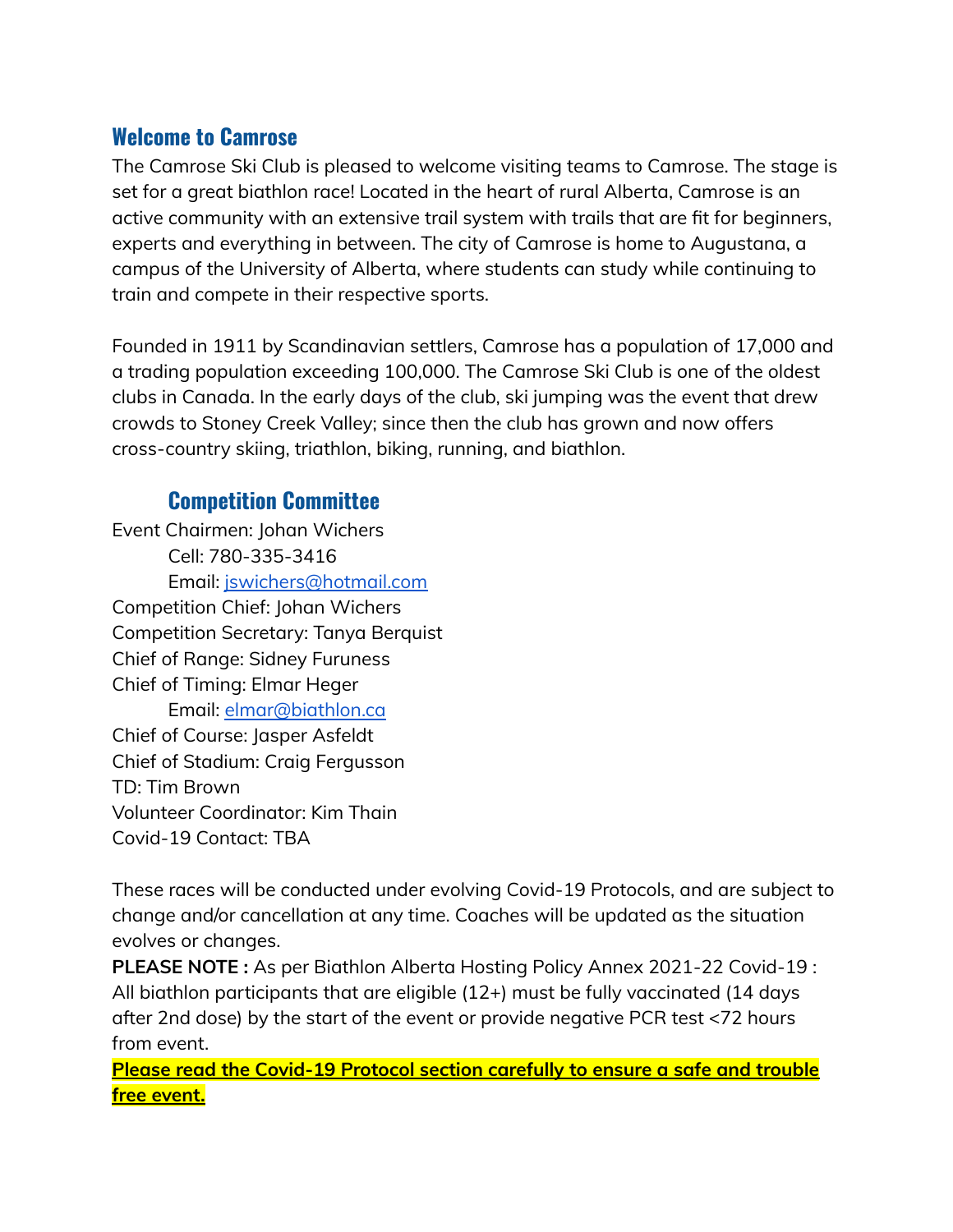## **Welcome to Camrose**

The Camrose Ski Club is pleased to welcome visiting teams to Camrose. The stage is set for a great biathlon race! Located in the heart of rural Alberta, Camrose is an active community with an extensive trail system with trails that are fit for beginners, experts and everything in between. The city of Camrose is home to Augustana, a campus of the University of Alberta, where students can study while continuing to train and compete in their respective sports.

Founded in 1911 by Scandinavian settlers, Camrose has a population of 17,000 and a trading population exceeding 100,000. The Camrose Ski Club is one of the oldest clubs in Canada. In the early days of the club, ski jumping was the event that drew crowds to Stoney Creek Valley; since then the club has grown and now offers cross-country skiing, triathlon, biking, running, and biathlon.

# **Competition Committee**

Event Chairmen: Johan Wichers Cell: 780-335-3416 Email: [jswichers@hotmail.com](mailto:jswichers@hotmail.com) Competition Chief: Johan Wichers Competition Secretary: Tanya Berquist Chief of Range: Sidney Furuness Chief of Timing: Elmar Heger Email: [elmar@biathlon.ca](mailto:elmar@biathlon.ca) Chief of Course: Jasper Asfeldt Chief of Stadium: Craig Fergusson TD: Tim Brown Volunteer Coordinator: Kim Thain Covid-19 Contact: TBA

These races will be conducted under evolving Covid-19 Protocols, and are subject to change and/or cancellation at any time. Coaches will be updated as the situation evolves or changes.

**PLEASE NOTE :** As per Biathlon Alberta Hosting Policy Annex 2021-22 Covid-19 : All biathlon participants that are eligible (12+) must be fully vaccinated (14 days after 2nd dose) by the start of the event or provide negative PCR test <72 hours from event.

**Please read the Covid-19 Protocol section carefully to ensure a safe and trouble free event.**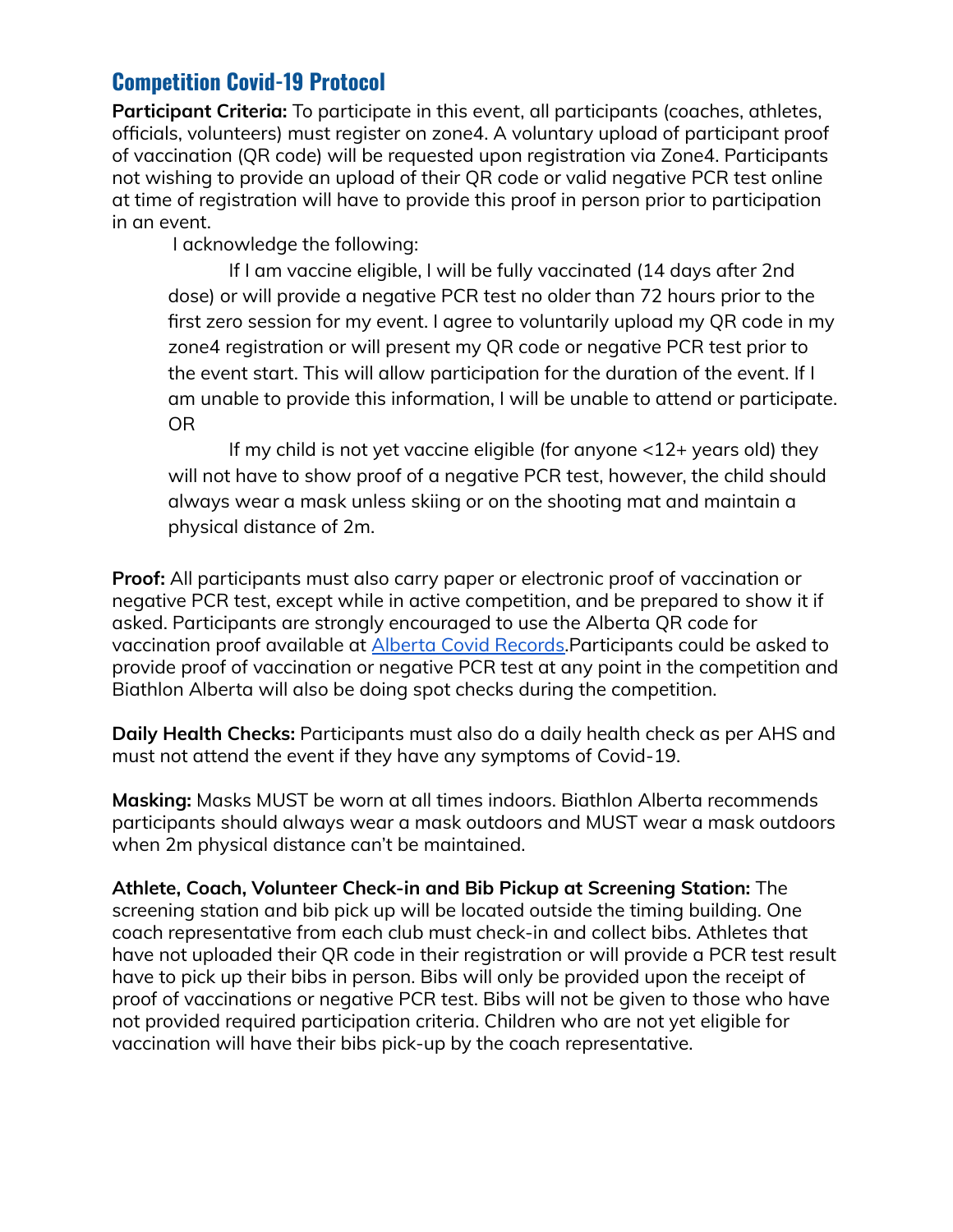## **Competition Covid-19 Protocol**

**Participant Criteria:** To participate in this event, all participants (coaches, athletes, officials, volunteers) must register on zone4. A voluntary upload of participant proof of vaccination (QR code) will be requested upon registration via Zone4. Participants not wishing to provide an upload of their QR code or valid negative PCR test online at time of registration will have to provide this proof in person prior to participation in an event.

I acknowledge the following:

If I am vaccine eligible, I will be fully vaccinated (14 days after 2nd dose) or will provide a negative PCR test no older than 72 hours prior to the first zero session for my event. I agree to voluntarily upload my QR code in my zone4 registration or will present my QR code or negative PCR test prior to the event start. This will allow participation for the duration of the event. If I am unable to provide this information, I will be unable to attend or participate. OR

If my child is not yet vaccine eligible (for anyone <12+ years old) they will not have to show proof of a negative PCR test, however, the child should always wear a mask unless skiing or on the shooting mat and maintain a physical distance of 2m.

**Proof:** All participants must also carry paper or electronic proof of vaccination or negative PCR test, except while in active competition, and be prepared to show it if asked. Participants are strongly encouraged to use the Alberta QR code for vaccination proof available at Alberta Covid [Records.](https://covidrecords.alberta.ca/home)Participants could be asked to provide proof of vaccination or negative PCR test at any point in the competition and Biathlon Alberta will also be doing spot checks during the competition.

**Daily Health Checks:** Participants must also do a daily health check as per AHS and must not attend the event if they have any symptoms of Covid-19.

**Masking:** Masks MUST be worn at all times indoors. Biathlon Alberta recommends participants should always wear a mask outdoors and MUST wear a mask outdoors when 2m physical distance can't be maintained.

**Athlete, Coach, Volunteer Check-in and Bib Pickup at Screening Station:** The screening station and bib pick up will be located outside the timing building. One coach representative from each club must check-in and collect bibs. Athletes that have not uploaded their QR code in their registration or will provide a PCR test result have to pick up their bibs in person. Bibs will only be provided upon the receipt of proof of vaccinations or negative PCR test. Bibs will not be given to those who have not provided required participation criteria. Children who are not yet eligible for vaccination will have their bibs pick-up by the coach representative.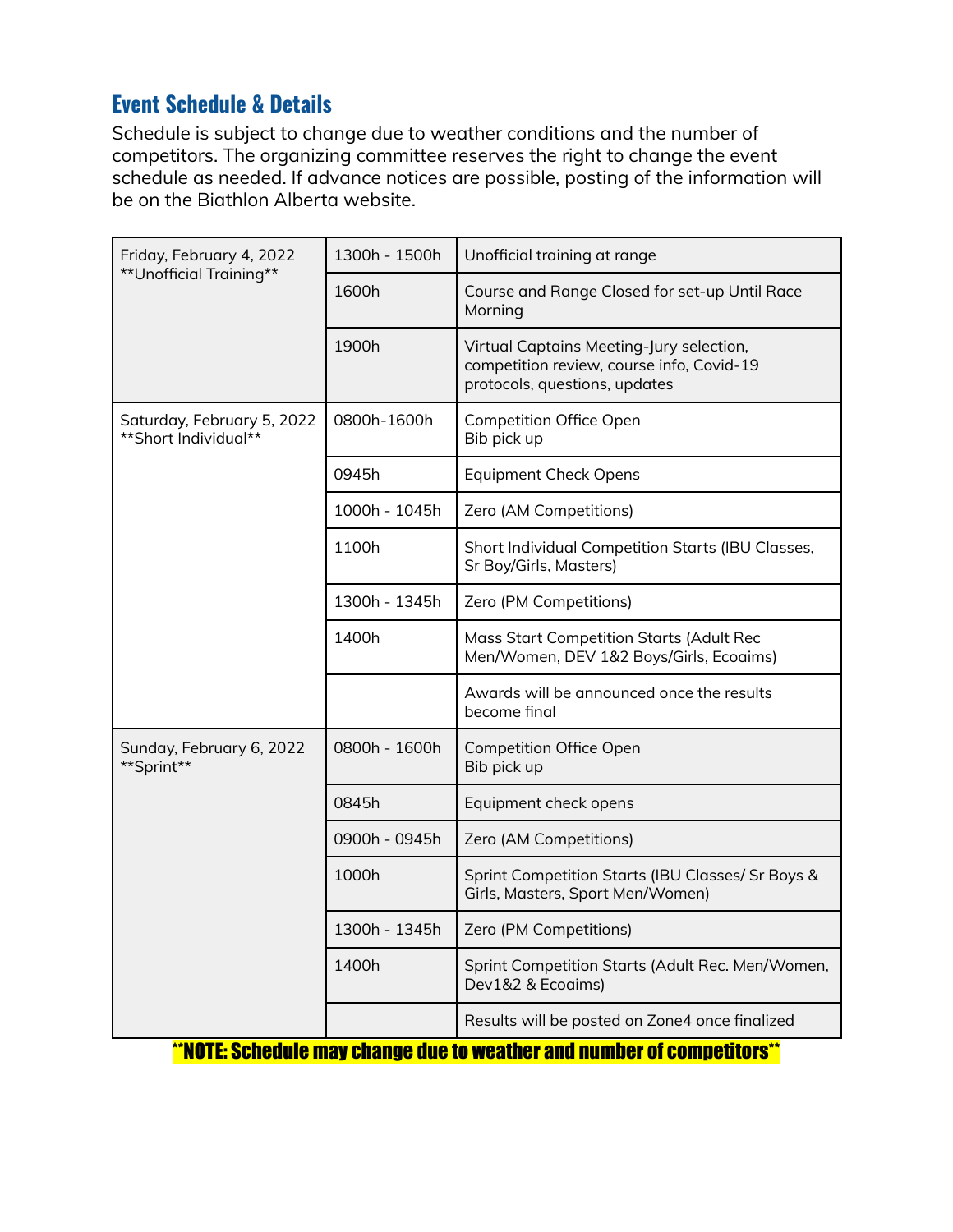# **Event Schedule & Details**

Schedule is subject to change due to weather conditions and the number of competitors. The organizing committee reserves the right to change the event schedule as needed. If advance notices are possible, posting of the information will be on the Biathlon Alberta website.

| Friday, February 4, 2022<br>**Unofficial Training** | 1300h - 1500h | Unofficial training at range                                                                                           |  |
|-----------------------------------------------------|---------------|------------------------------------------------------------------------------------------------------------------------|--|
|                                                     | 1600h         | Course and Range Closed for set-up Until Race<br>Morning                                                               |  |
|                                                     | 1900h         | Virtual Captains Meeting-Jury selection,<br>competition review, course info, Covid-19<br>protocols, questions, updates |  |
| Saturday, February 5, 2022<br>**Short Individual**  | 0800h-1600h   | Competition Office Open<br>Bib pick up                                                                                 |  |
|                                                     | 0945h         | <b>Equipment Check Opens</b>                                                                                           |  |
|                                                     | 1000h - 1045h | Zero (AM Competitions)                                                                                                 |  |
|                                                     | 1100h         | Short Individual Competition Starts (IBU Classes,<br>Sr Boy/Girls, Masters)                                            |  |
|                                                     | 1300h - 1345h | Zero (PM Competitions)                                                                                                 |  |
|                                                     | 1400h         | Mass Start Competition Starts (Adult Rec<br>Men/Women, DEV 1&2 Boys/Girls, Ecoaims)                                    |  |
|                                                     |               | Awards will be announced once the results<br>become final                                                              |  |
| Sunday, February 6, 2022<br>**Sprint**              | 0800h - 1600h | <b>Competition Office Open</b><br>Bib pick up                                                                          |  |
|                                                     | 0845h         | Equipment check opens                                                                                                  |  |
|                                                     | 0900h - 0945h | Zero (AM Competitions)                                                                                                 |  |
|                                                     | 1000h         | Sprint Competition Starts (IBU Classes/ Sr Boys &<br>Girls, Masters, Sport Men/Women)                                  |  |
|                                                     | 1300h - 1345h | Zero (PM Competitions)                                                                                                 |  |
|                                                     | 1400h         | Sprint Competition Starts (Adult Rec. Men/Women,<br>Dev1&2 & Ecoaims)                                                  |  |
|                                                     |               | Results will be posted on Zone4 once finalized                                                                         |  |

\*\*NOTE: Schedule may change due to weather and number of competitors\*\*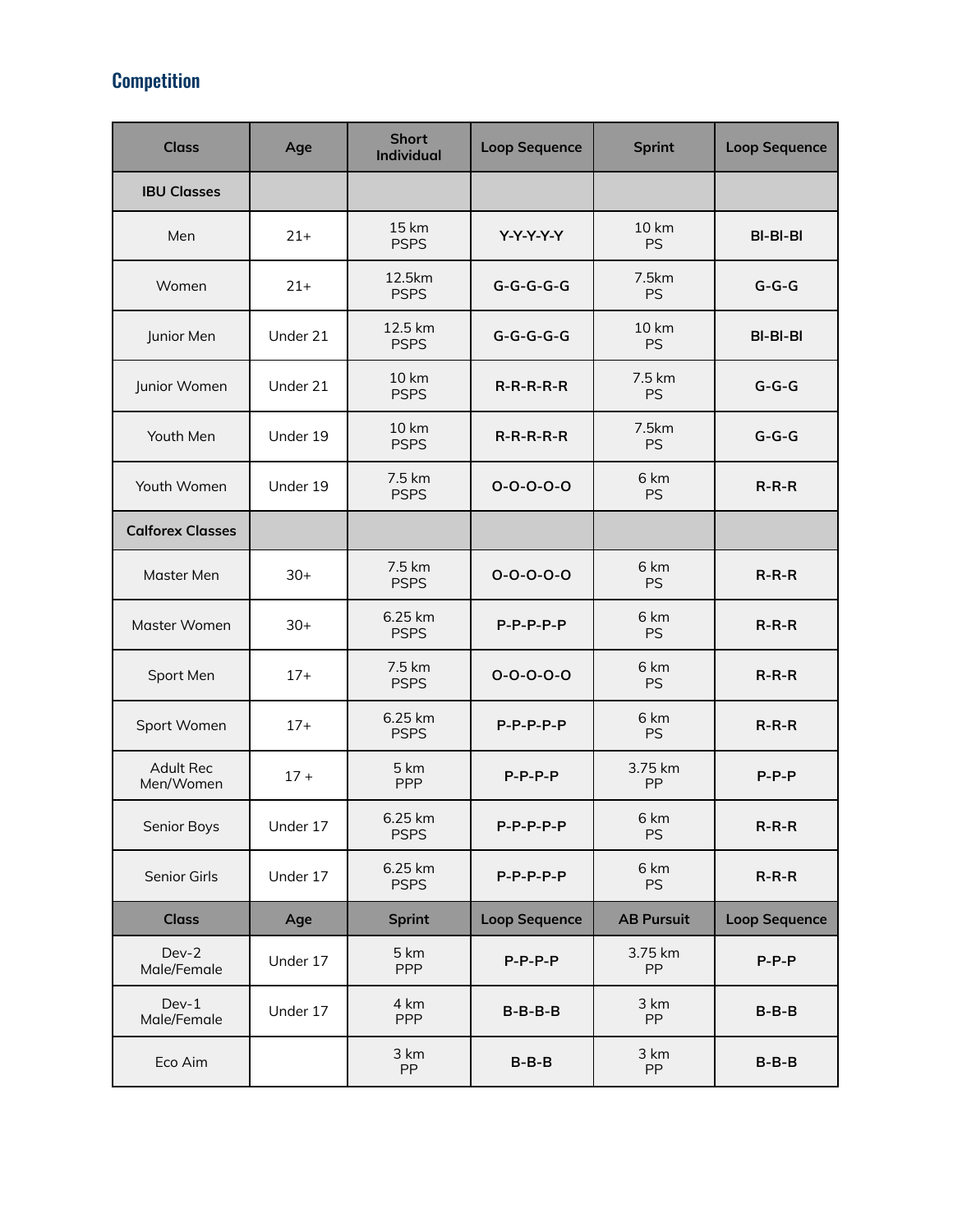# **Competition**

| <b>Class</b>                  | Age      | <b>Short</b><br><b>Individual</b> | <b>Loop Sequence</b> | <b>Sprint</b>             | <b>Loop Sequence</b> |
|-------------------------------|----------|-----------------------------------|----------------------|---------------------------|----------------------|
| <b>IBU Classes</b>            |          |                                   |                      |                           |                      |
| Men                           | $21+$    | 15 km<br><b>PSPS</b>              | $Y-Y-Y-Y$            | 10 km<br><b>PS</b>        | BI-BI-BI             |
| Women                         | $21+$    | 12.5km<br><b>PSPS</b>             | $G-G-G-G-G$          | 7.5km<br><b>PS</b>        | $G-G-G$              |
| Junior Men                    | Under 21 | 12.5 km<br><b>PSPS</b>            | $G-G-G-G-G$          | <b>10 km</b><br><b>PS</b> | BI-BI-BI             |
| Junior Women                  | Under 21 | 10 km<br><b>PSPS</b>              | $R-R-R-R-R$          | 7.5 km<br><b>PS</b>       | $G-G-G$              |
| Youth Men                     | Under 19 | <b>10 km</b><br><b>PSPS</b>       | $R-R-R-R-R$          | 7.5km<br>PS               | $G-G-G$              |
| Youth Women                   | Under 19 | 7.5 km<br><b>PSPS</b>             | $0 - 0 - 0 - 0 - 0$  | 6 km<br><b>PS</b>         | $R-R-R$              |
| <b>Calforex Classes</b>       |          |                                   |                      |                           |                      |
| Master Men                    | $30+$    | 7.5 km<br><b>PSPS</b>             | $0 - 0 - 0 - 0 - 0$  | 6 km<br><b>PS</b>         | $R-R-R$              |
| Master Women                  | $30+$    | 6.25 km<br><b>PSPS</b>            | $P-P-P-P-P$          | 6 km<br><b>PS</b>         | $R-R-R$              |
| Sport Men                     | $17+$    | 7.5 km<br><b>PSPS</b>             | $0 - 0 - 0 - 0 - 0$  | 6 km<br><b>PS</b>         | $R-R-R$              |
| Sport Women                   | $17+$    | 6.25 km<br><b>PSPS</b>            | $P-P-P-P-P$          | 6 km<br><b>PS</b>         | $R-R-R$              |
| <b>Adult Rec</b><br>Men/Women | $17 +$   | 5 km<br>PPP                       | $P-P-P-P$            | 3.75 km<br>PP             | $P-P-P$              |
| Senior Boys                   | Under 17 | 6.25 km<br><b>PSPS</b>            | $P-P-P-P-P$          | 6 km<br><b>PS</b>         | $R-R-R$              |
| Senior Girls                  | Under 17 | 6.25 km<br><b>PSPS</b>            | $P-P-P-P-P$          | 6 km<br><b>PS</b>         | $R-R-R$              |
| <b>Class</b>                  | Age      | <b>Sprint</b>                     | <b>Loop Sequence</b> | <b>AB Pursuit</b>         | <b>Loop Sequence</b> |
| Dev-2<br>Male/Female          | Under 17 | 5 km<br><b>PPP</b>                | $P-P-P-P$            | 3.75 km<br>PP             | $P-P-P$              |
| $Dev-1$<br>Male/Female        | Under 17 | 4 km<br><b>PPP</b>                | $B-B-B-B$            | 3 km<br>PP                | $B - B - B$          |
| Eco Aim                       |          | 3 km<br>PP                        | $B - B - B$          | 3 km<br><b>PP</b>         | $B-B-B$              |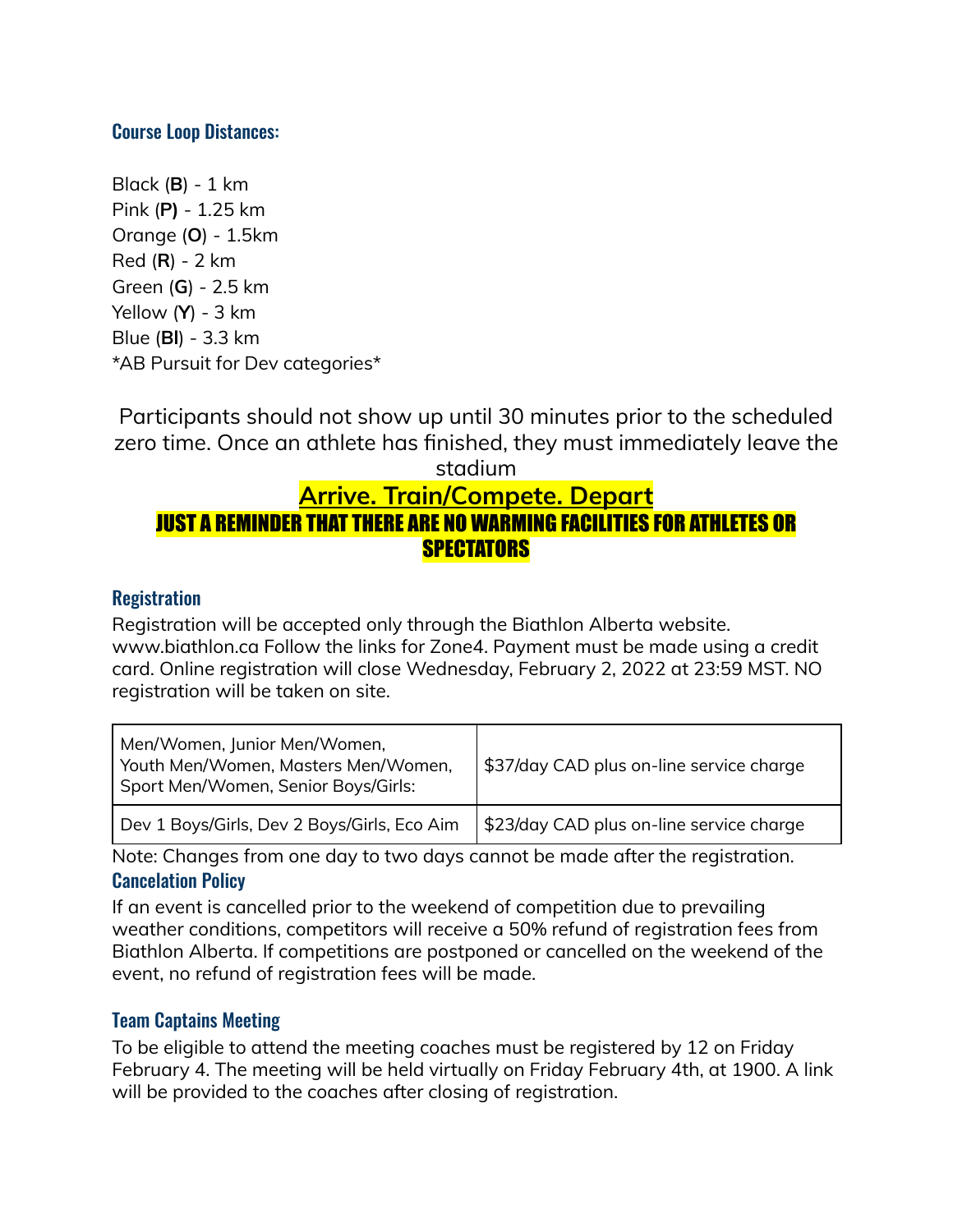#### Course Loop Distances:

Black (**B**) - 1 km Pink (**P)** - 1.25 km Orange (**O**) - 1.5km Red (**R**) - 2 km Green (**G**) - 2.5 km Yellow (**Y**) - 3 km Blue (**Bl**) - 3.3 km \*AB Pursuit for Dev categories\*

Participants should not show up until 30 minutes prior to the scheduled zero time. Once an athlete has finished, they must immediately leave the stadium **Arrive. Train/Compete. Depart** JUST A REMINDER THAT THERE ARE NO WARMING FACILITIES FOR ATHLETES OR **SPECTATORS** 

#### **Registration**

Registration will be accepted only through the Biathlon Alberta website. www.biathlon.ca Follow the links for Zone4. Payment must be made using a credit card. Online registration will close Wednesday, February 2, 2022 at 23:59 MST. NO registration will be taken on site.

| Men/Women, Junior Men/Women,<br>Youth Men/Women, Masters Men/Women,<br>Sport Men/Women, Senior Boys/Girls: | \$37/day CAD plus on-line service charge |  |
|------------------------------------------------------------------------------------------------------------|------------------------------------------|--|
| Dev 1 Boys/Girls, Dev 2 Boys/Girls, Eco Aim                                                                | \$23/day CAD plus on-line service charge |  |

Note: Changes from one day to two days cannot be made after the registration. Cancelation Policy

If an event is cancelled prior to the weekend of competition due to prevailing weather conditions, competitors will receive a 50% refund of registration fees from Biathlon Alberta. If competitions are postponed or cancelled on the weekend of the event, no refund of registration fees will be made.

#### Team Captains Meeting

To be eligible to attend the meeting coaches must be registered by 12 on Friday February 4. The meeting will be held virtually on Friday February 4th, at 1900. A link will be provided to the coaches after closing of registration.